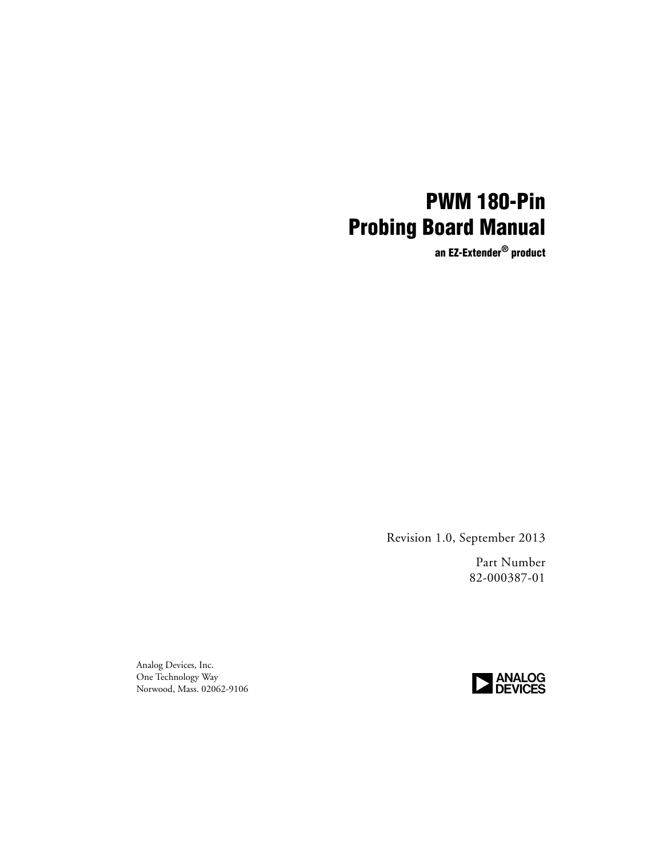## **PWM 180-Pin Probing Board Manual**

**an EZ-Extender® product**

Revision 1.0, September 2013

Part Number 82-000387-01

Analog Devices, Inc. One Technology Way Norwood, Mass. 02062-9106

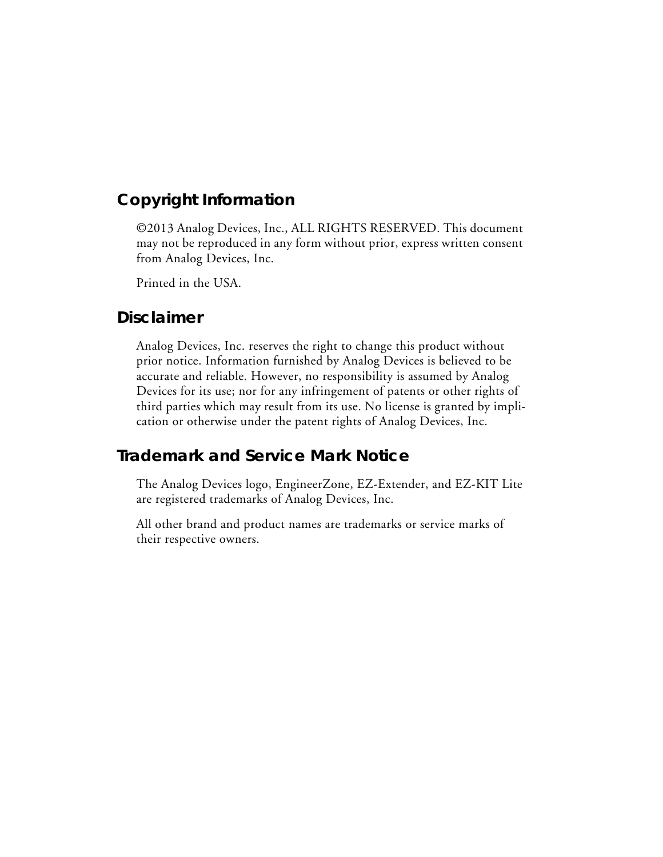#### **Copyright Information**

©2013 Analog Devices, Inc., ALL RIGHTS RESERVED. This document may not be reproduced in any form without prior, express written consent from Analog Devices, Inc.

Printed in the USA.

#### **Disclaimer**

Analog Devices, Inc. reserves the right to change this product without prior notice. Information furnished by Analog Devices is believed to be accurate and reliable. However, no responsibility is assumed by Analog Devices for its use; nor for any infringement of patents or other rights of third parties which may result from its use. No license is granted by implication or otherwise under the patent rights of Analog Devices, Inc.

#### **Trademark and Service Mark Notice**

The Analog Devices logo, EngineerZone, EZ-Extender, and EZ-KIT Lite are registered trademarks of Analog Devices, Inc.

All other brand and product names are trademarks or service marks of their respective owners.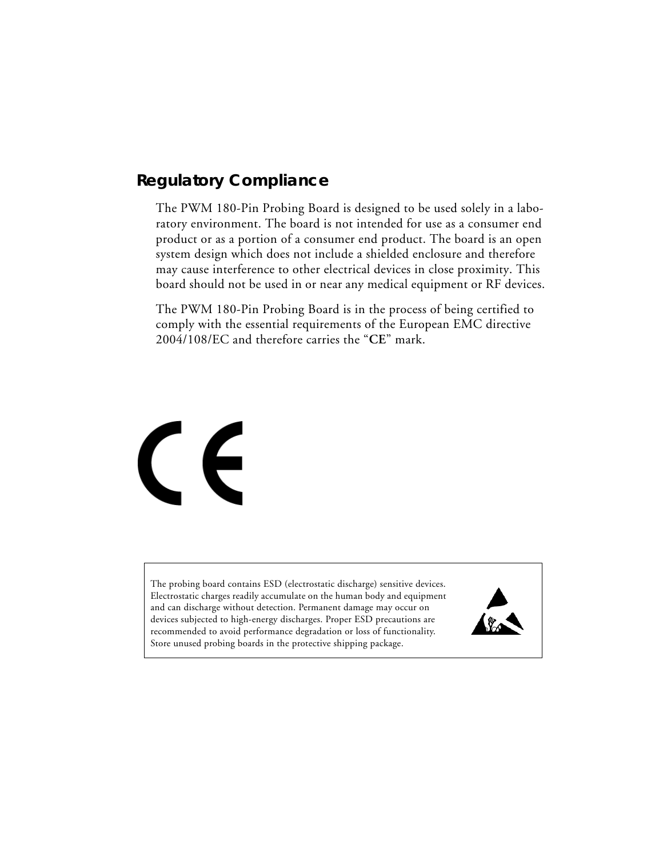### **Regulatory Compliance**

The PWM 180-Pin Probing Board is designed to be used solely in a laboratory environment. The board is not intended for use as a consumer end product or as a portion of a consumer end product. The board is an open system design which does not include a shielded enclosure and therefore may cause interference to other electrical devices in close proximity. This board should not be used in or near any medical equipment or RF devices.

The PWM 180-Pin Probing Board is in the process of being certified to comply with the essential requirements of the European EMC directive 2004/108/EC and therefore carries the "**CE**" mark.



The probing board contains ESD (electrostatic discharge) sensitive devices. Electrostatic charges readily accumulate on the human body and equipment and can discharge without detection. Permanent damage may occur on devices subjected to high-energy discharges. Proper ESD precautions are recommended to avoid performance degradation or loss of functionality. Store unused probing boards in the protective shipping package.

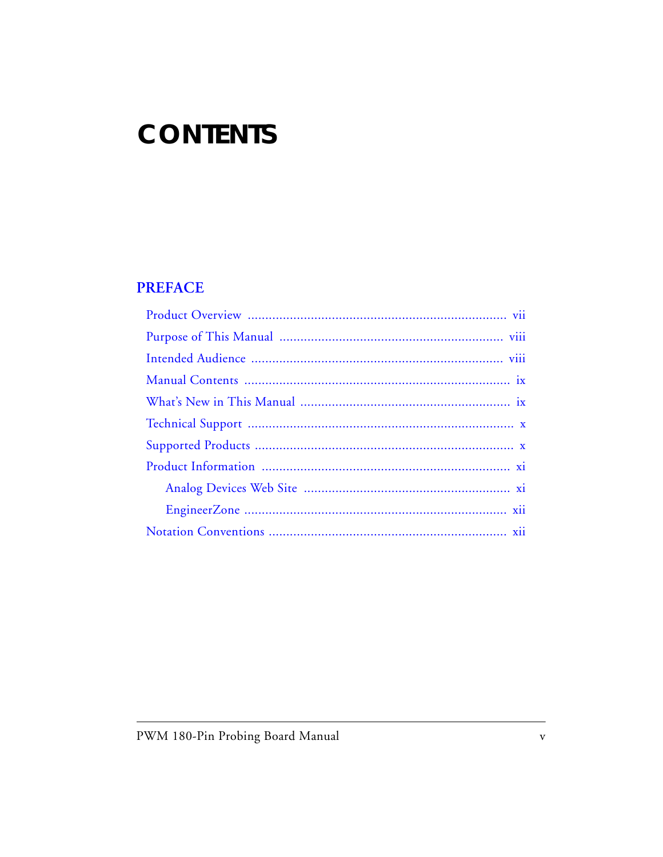## **CONTENTS**

#### **PREFACE**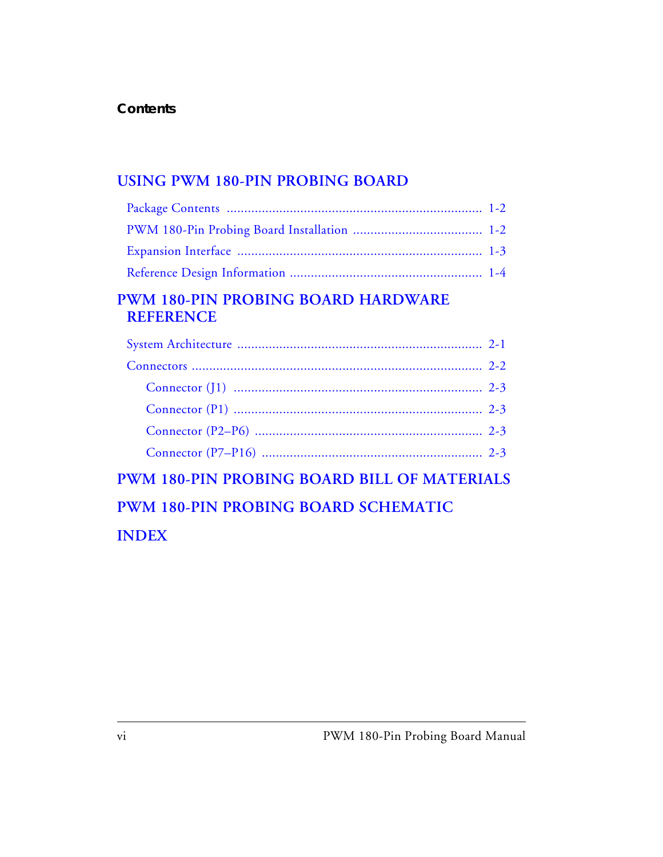### **[USING PWM 180-PIN PROBING BOARD](#page-14-0)**

### **[PWM 180-PIN PROBING BOARD HARDWARE](#page-18-0)  REFERENCE**

| 이 사이에 대한 사이를 하는 것이 아니라 그 사이에 대한 사이를 하는 것이 아니라 그 사이에 대한 사이를 하는 것이 아니라 그 사이를 하는 것이 아니라 그 사이를 하는 것이 아니라 그 사이를 하는 것 |  |
|-----------------------------------------------------------------------------------------------------------------|--|

**[PWM 180-PIN PROBING BOARD BILL OF MATERIALS](#page-22-0) [PWM 180-PIN PROBING BOARD SCHEMATIC](#page-24-0) [INDEX](#page-26-0)**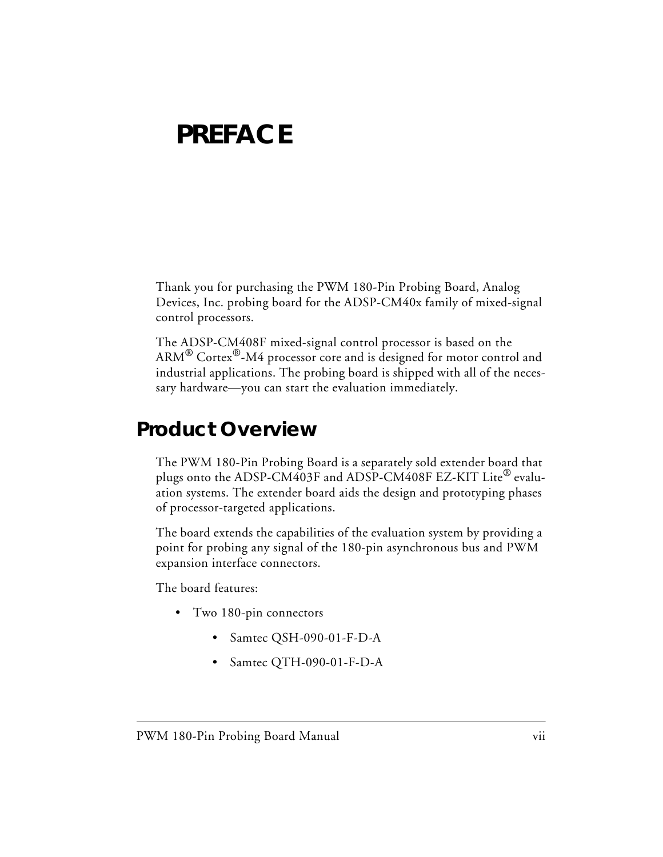## <span id="page-6-2"></span><span id="page-6-0"></span>**PREFACE**

Thank you for purchasing the PWM 180-Pin Probing Board, Analog Devices, Inc. probing board for the ADSP-CM40x family of mixed-signal control processors.

The ADSP-CM408F mixed-signal control processor is based on the  $\text{ARM}^{\circledR}$  Cortex $^{\circledR}\text{-}\text{M4}$  processor core and is designed for motor control and industrial applications. The probing board is shipped with all of the necessary hardware—you can start the evaluation immediately.

### <span id="page-6-1"></span>**Product Overview**

<span id="page-6-3"></span>The PWM 180-Pin Probing Board is a separately sold extender board that plugs onto the ADSP-CM403F and ADSP-CM408F EZ-KIT Lite® evaluation systems. The extender board aids the design and prototyping phases of processor-targeted applications.

The board extends the capabilities of the evaluation system by providing a point for probing any signal of the 180-pin asynchronous bus and PWM expansion interface connectors.

The board features:

- Two 180-pin connectors
	- Samtec QSH-090-01-F-D-A
	- Samtec QTH-090-01-F-D-A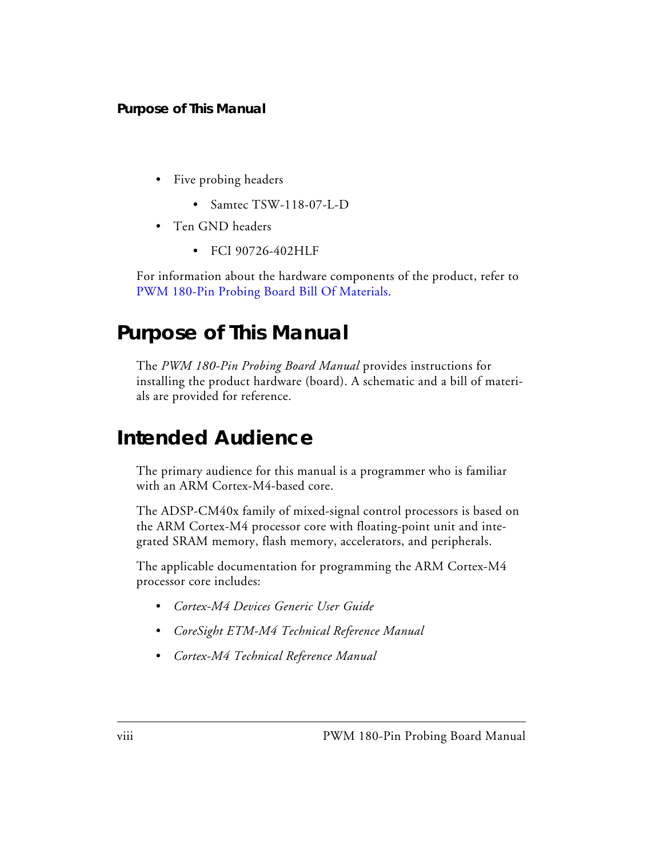- Five probing headers
	- Samtec TSW-118-07-L-D
- Ten GND headers
	- FCI 90726-402HLF

For information about the hardware components of the product, refer to [PWM 180-Pin Probing Board Bill Of Materials](#page-22-1).

### <span id="page-7-0"></span>**Purpose of This Manual**

The *PWM 180-Pin Probing Board Manual* provides instructions for installing the product hardware (board). A schematic and a bill of materials are provided for reference.

### <span id="page-7-1"></span>**Intended Audience**

The primary audience for this manual is a programmer who is familiar with an ARM Cortex-M4-based core.

The ADSP-CM40x family of mixed-signal control processors is based on the ARM Cortex-M4 processor core with floating-point unit and integrated SRAM memory, flash memory, accelerators, and peripherals.

The applicable documentation for programming the ARM Cortex-M4 processor core includes:

- *Cortex-M4 Devices Generic User Guide*
- *CoreSight ETM-M4 Technical Reference Manual*
- *Cortex-M4 Technical Reference Manual*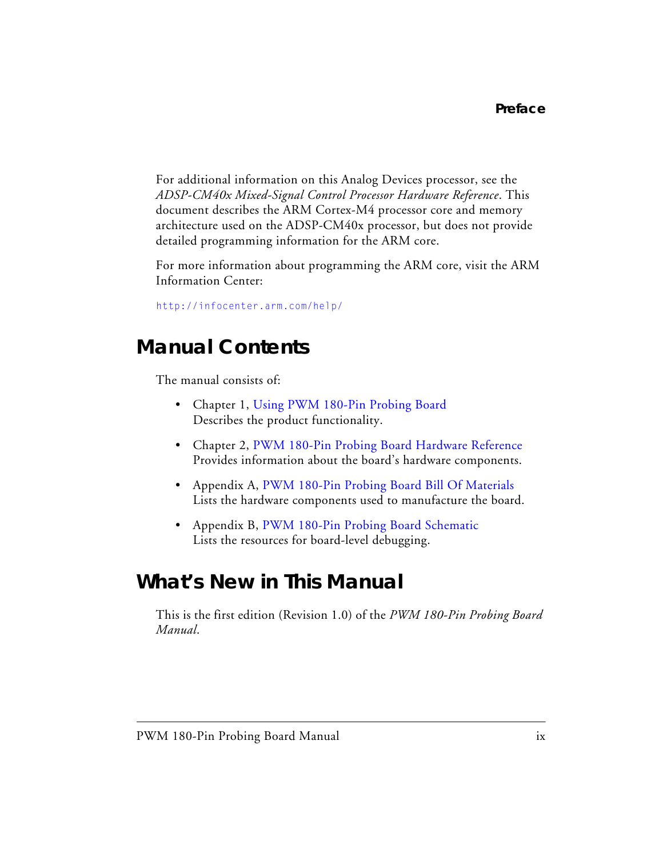For additional information on this Analog Devices processor, see the *ADSP-CM40x Mixed-Signal Control Processor Hardware Reference*[. This](http://infocenter.arm.com/help/)  document describes the ARM Cortex-M4 processor core and memory [architecture used on the ADSP-CM40x processor, but does not provide](http://infocenter.arm.com/help/)  detailed programming information for the ARM core.

For more information about programming the ARM core, visit the ARM Information Center:

[http://infocenter.arm.com/help/](http://infocenter.arm.com/help/ )

### <span id="page-8-0"></span>**Manual Contents**

The manual consists of:

- Chapter 1, [Using PWM 180-Pin Probing Board](#page-14-1) Describes the product functionality.
- Chapter 2, [PWM 180-Pin Probing Board Hardware Reference](#page-18-2) Provides information about the board's hardware components.
- Appendix A, [PWM 180-Pin Probing Board Bill Of Materials](#page-22-1) Lists the hardware components used to manufacture the board.
- Appendix B, [PWM 180-Pin Probing Board Schematic](#page-24-0) Lists the resources for board-level debugging.

### <span id="page-8-1"></span>**What's New in This Manual**

This is the first edition (Revision 1.0) of the *PWM 180-Pin Probing Board Manual*.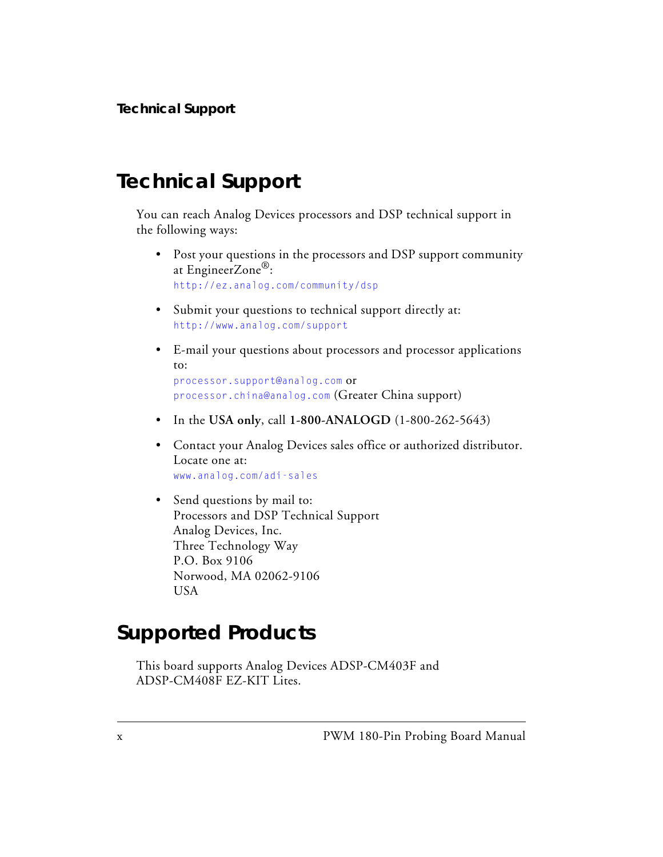### <span id="page-9-0"></span>**Technical Support**

You can reach Analog Devices processors and DSP technical support in the following ways:

- <span id="page-9-2"></span>• Post your questions in the processors and DSP support community at EngineerZone<sup>®</sup>: <http://ez.analog.com/community/dsp>
- Submit your questions to technical support directly at: <http://www.analog.com/support>
- E-mail your questions about processors and processor applications to:

```
processor.support@analog.com or
processor.china@analog.com (Greater China support)
```
- In the **USA only**, call **1-800-ANALOGD** (1-800-262-5643)
- Contact your Analog Devices sales office or authorized distributor. Locate one at: [www.analog.com/adi-sales](http://www.analog.com/adi-sales )
- Send questions by mail to: Processors and DSP Technical Support Analog Devices, Inc. Three Technology Way P.O. Box 9106 Norwood, MA 02062-9106 USA

### <span id="page-9-1"></span>**Supported Products**

This board supports Analog Devices ADSP-CM403F and ADSP-CM408F EZ-KIT Lites.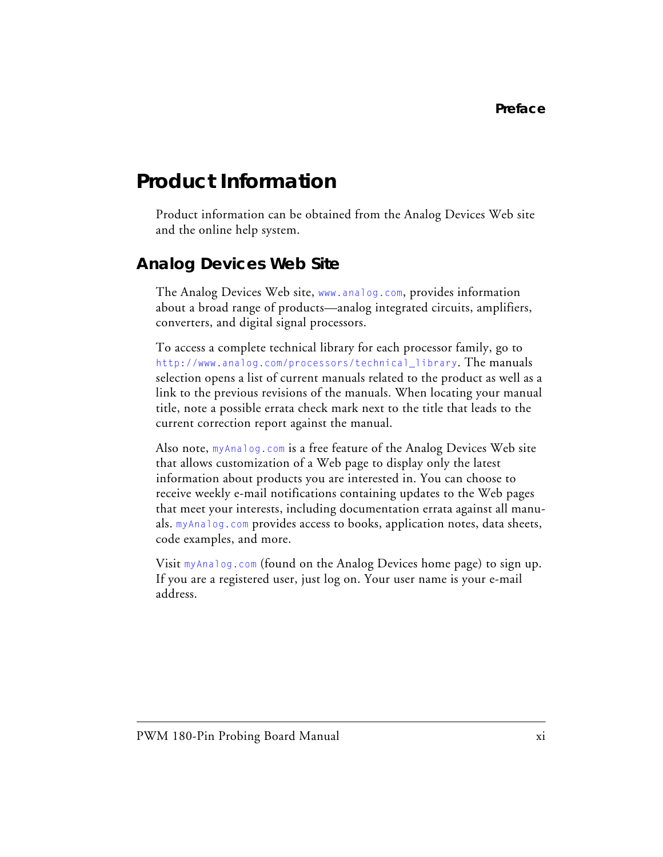### <span id="page-10-0"></span>**Product Information**

Product information can be obtained from the Analog Devices Web site and the online help system.

### <span id="page-10-1"></span>**Analog Devices Web Site**

The Analog Devices Web site, [www.analog.com](http://www.analog.com), provides information about a broad range of products—analog integrated circuits, amplifiers, converters, and digital signal processors.

To access a complete technical library for each processor family, go to [http://www.analog.com/processors/technical\\_library](http://www.analog.com/processors/technical_library/ ). The manuals selection opens a list of current manuals related to the product as well as a link to the previous revisions of the manuals. When locating your manual title, note a possible errata check mark next to the title that leads to the current correction report against the manual.

Also note, [myAnalog.com](http://www.analog.com/subscriptions ) is a free feature of the Analog Devices Web site that allows customization of a Web page to display only the latest information about products you are interested in. You can choose to receive weekly e-mail notifications containing updates to the Web pages that meet your interests, including documentation errata against all manuals. [myAnalog.com](http://www.analog.com/subscriptions ) provides access to books, application notes, data sheets, code examples, and more.

Visit [myAnalog.com](http://www.analog.com/subscriptions ) (found on the Analog Devices home page) to sign up. If you are a registered user, just log on. Your user name is your e-mail address.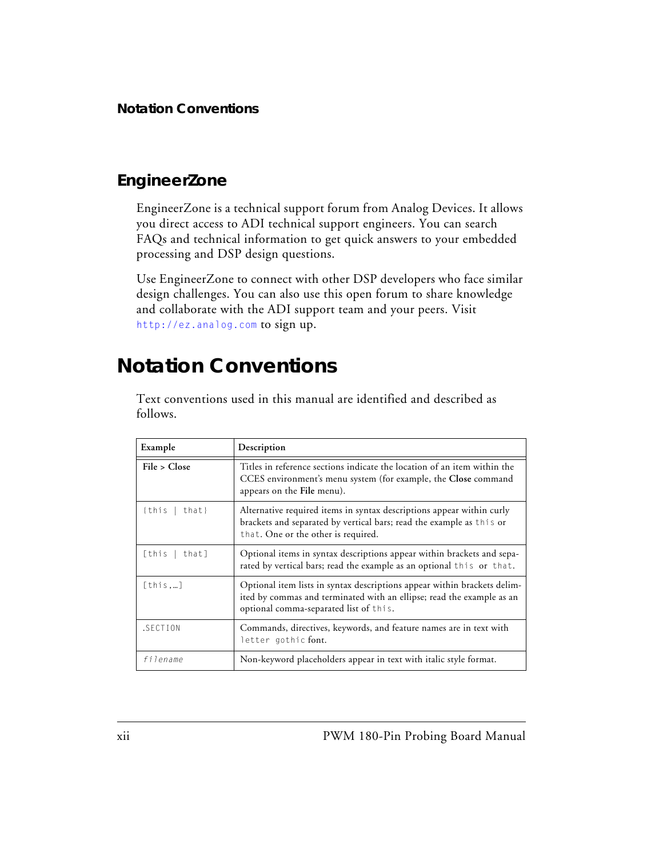### <span id="page-11-0"></span>**EngineerZone**

<span id="page-11-2"></span>EngineerZone is a technical support forum from Analog Devices. It allows you direct access to ADI technical support engineers. You can search FAQs and technical information to get quick answers to your embedded processing and DSP design questions.

Use EngineerZone to connect with other DSP developers who face similar design challenges. You can also use this open forum to share knowledge and collaborate with the ADI support team and your peers. Visit <http://ez.analog.com> to sign up.

### <span id="page-11-3"></span><span id="page-11-1"></span>**Notation Conventions**

Text conventions used in this manual are identified and described as follows.

| Example           | Description                                                                                                                                                                                 |
|-------------------|---------------------------------------------------------------------------------------------------------------------------------------------------------------------------------------------|
| File > Close      | Titles in reference sections indicate the location of an item within the<br>CCES environment's menu system (for example, the Close command<br>appears on the File menu).                    |
| $\{this   that\}$ | Alternative required items in syntax descriptions appear within curly<br>brackets and separated by vertical bars; read the example as this or<br>that. One or the other is required.        |
| [this   that]     | Optional items in syntax descriptions appear within brackets and sepa-<br>rated by vertical bars; read the example as an optional this or that.                                             |
| [this]            | Optional item lists in syntax descriptions appear within brackets delim-<br>ited by commas and terminated with an ellipse; read the example as an<br>optional comma-separated list of this. |
| .SECTION          | Commands, directives, keywords, and feature names are in text with<br>letter gothic font.                                                                                                   |
| filename          | Non-keyword placeholders appear in text with italic style format.                                                                                                                           |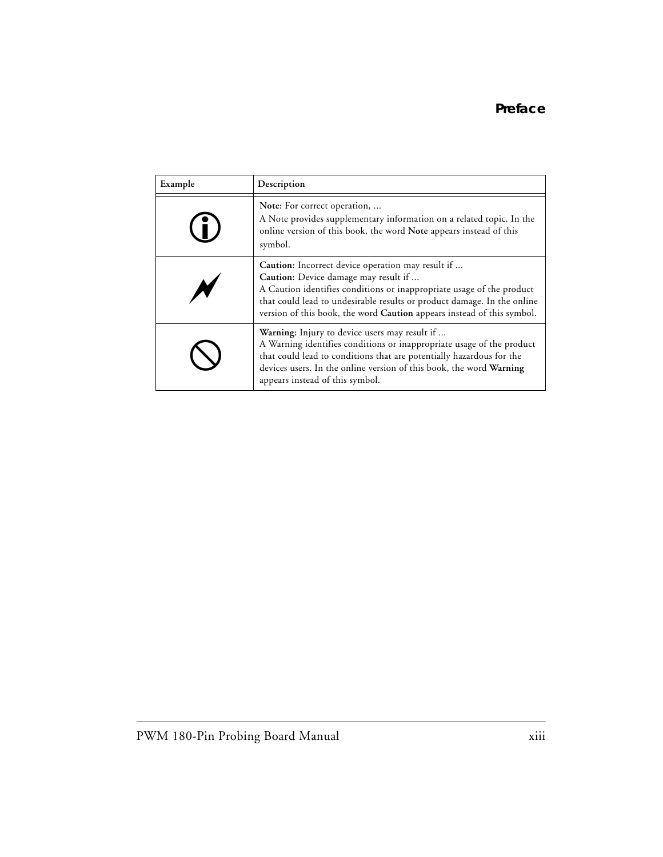| Example | Description                                                                                                                                                                                                                                                                                                             |
|---------|-------------------------------------------------------------------------------------------------------------------------------------------------------------------------------------------------------------------------------------------------------------------------------------------------------------------------|
|         | Note: For correct operation,<br>A Note provides supplementary information on a related topic. In the<br>online version of this book, the word Note appears instead of this<br>symbol.                                                                                                                                   |
|         | Caution: Incorrect device operation may result if<br>Caution: Device damage may result if<br>A Caution identifies conditions or inappropriate usage of the product<br>that could lead to undesirable results or product damage. In the online<br>version of this book, the word Caution appears instead of this symbol. |
|         | Warning: Injury to device users may result if<br>A Warning identifies conditions or inappropriate usage of the product<br>that could lead to conditions that are potentially hazardous for the<br>devices users. In the online version of this book, the word Warning<br>appears instead of this symbol.                |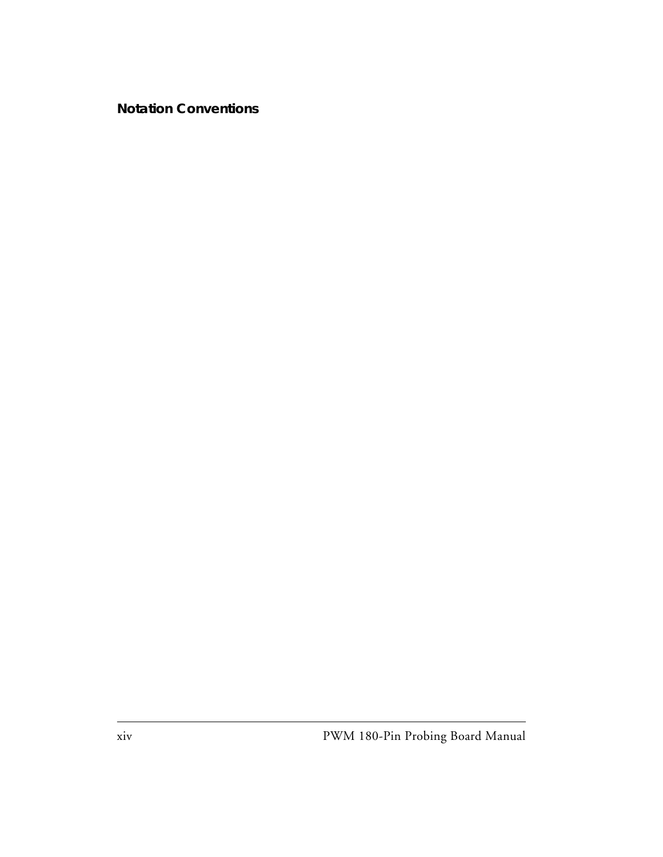#### **Notation Conventions**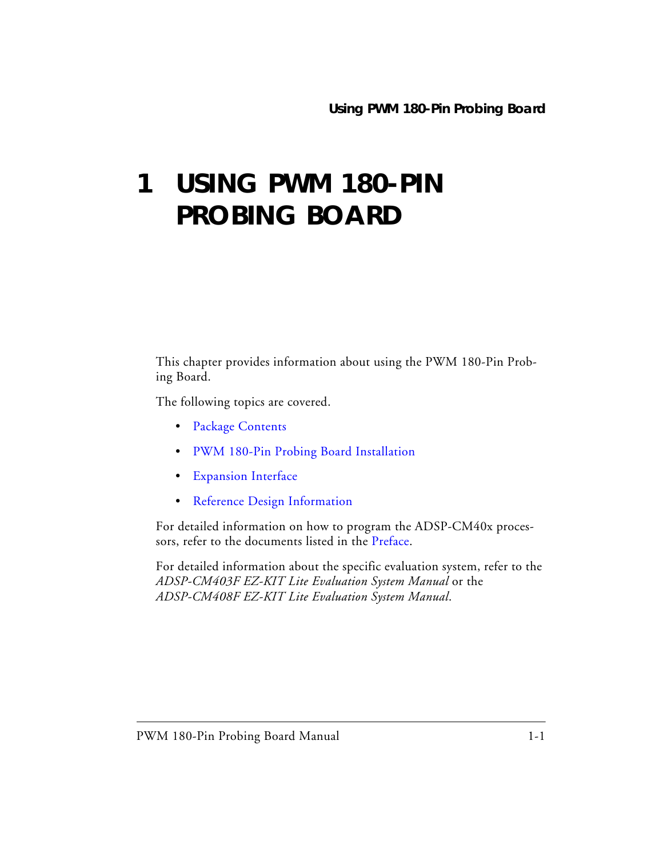## <span id="page-14-1"></span><span id="page-14-0"></span>**1 USING PWM 180-PIN PROBING BOARD**

This chapter provides information about using the PWM 180-Pin Probing Board.

The following topics are covered.

- [Package Contents](#page-15-0)
- [PWM 180-Pin Probing Board Installation](#page-15-1)
- [Expansion Interface](#page-16-0)
- [Reference Design Information](#page-17-0)

For detailed information on how to program the ADSP-CM40x processors, refer to the documents listed in the [Preface](#page-6-2).

For detailed information about the specific evaluation system, refer to the *ADSP-CM403F EZ-KIT Lite Evaluation System Manual* or the *ADSP-CM408F EZ-KIT Lite Evaluation System Manual*.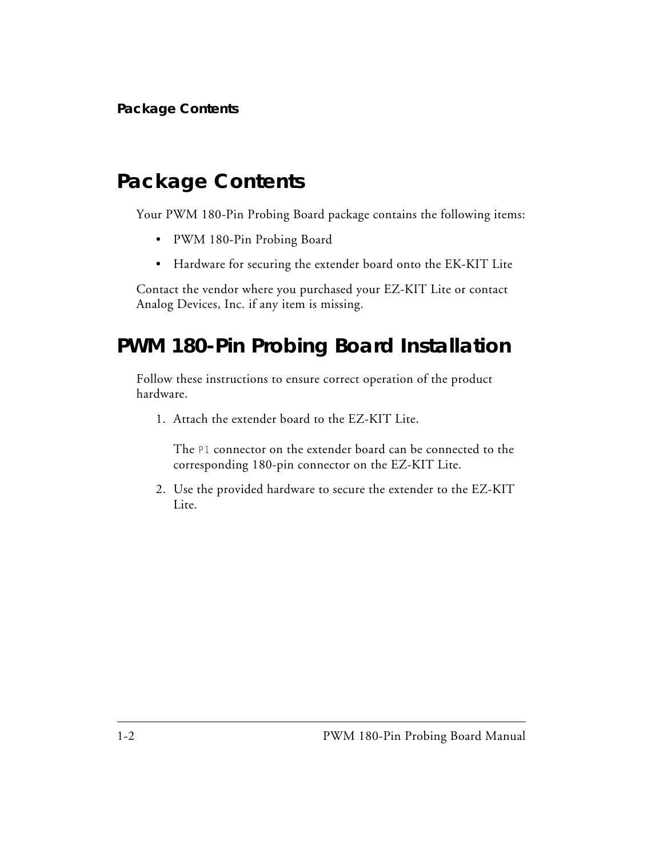### <span id="page-15-0"></span>**Package Contents**

<span id="page-15-3"></span>Your PWM 180-Pin Probing Board package contains the following items:

- <span id="page-15-5"></span>• PWM 180-Pin Probing Board
- <span id="page-15-4"></span>• Hardware for securing the extender board onto the EK-KIT Lite

Contact the vendor where you purchased your EZ-KIT Lite or contact Analog Devices, Inc. if any item is missing.

### <span id="page-15-1"></span>**PWM 180-Pin Probing Board Installation**

Follow these instructions to ensure correct operation of the product hardware.

1. Attach the extender board to the EZ-KIT Lite.

<span id="page-15-2"></span>The P1 connector on the extender board can be connected to the corresponding 180-pin connector on the EZ-KIT Lite.

2. Use the provided hardware to secure the extender to the EZ-KIT Lite.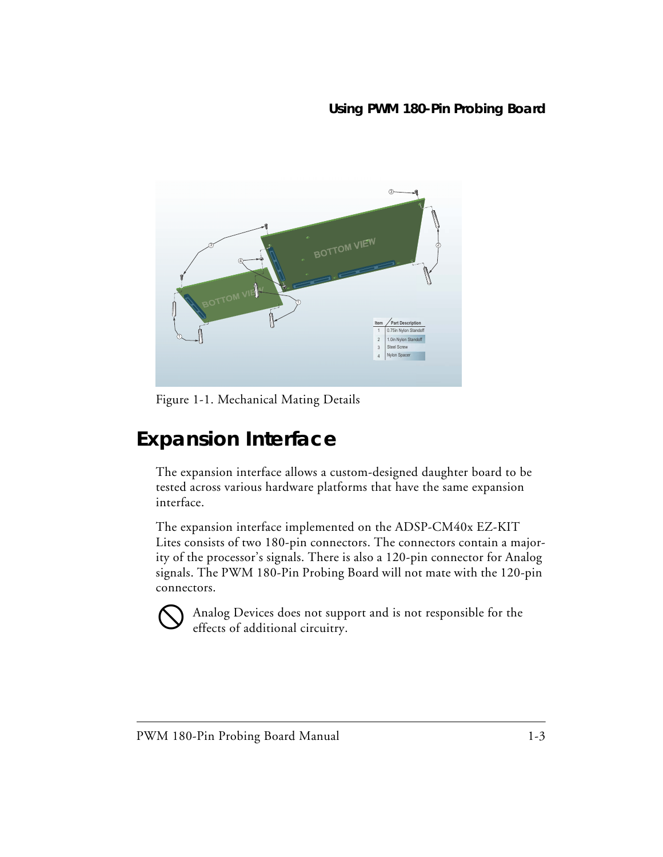

<span id="page-16-3"></span><span id="page-16-1"></span>Figure 1-1. Mechanical Mating Details

### <span id="page-16-2"></span><span id="page-16-0"></span>**Expansion Interface**

The expansion interface allows a custom-designed daughter board to be tested across various hardware platforms that have the same expansion interface.

The expansion interface implemented on the ADSP-CM40x EZ-KIT Lites consists of two 180-pin connectors. The connectors contain a majority of the processor's signals. There is also a 120-pin connector for Analog signals. The PWM 180-Pin Probing Board will not mate with the 120-pin connectors.



 Analog Devices does not support and is not responsible for the effects of additional circuitry.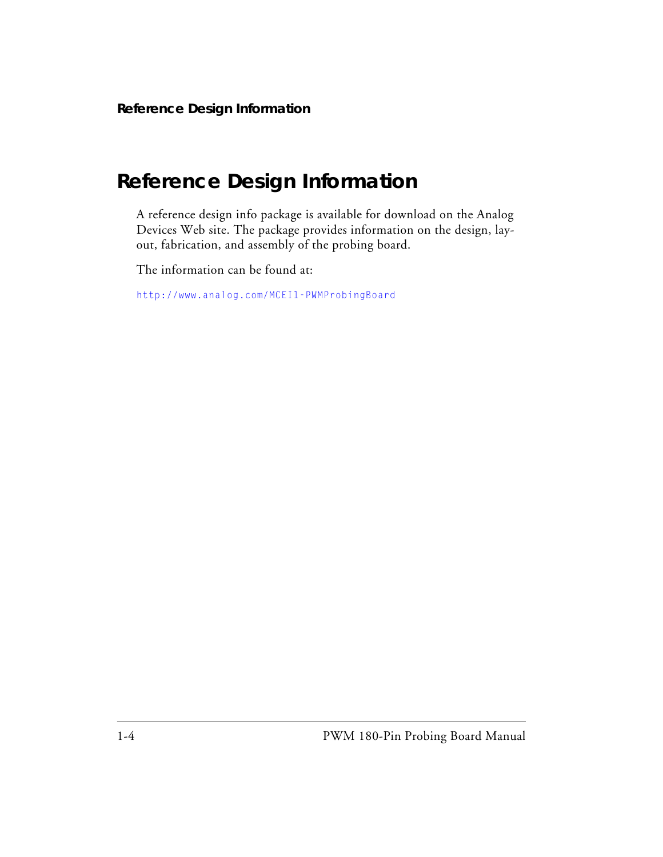### <span id="page-17-1"></span><span id="page-17-0"></span>**Reference Design Information**

A reference design info package is available for download on the Analog Devices Web site. The package provides information on the design, layout, fabrication, and assembly of the probing board.

The information can be found at:

<http://www.analog.com/MCEI1-PWMProbingBoard>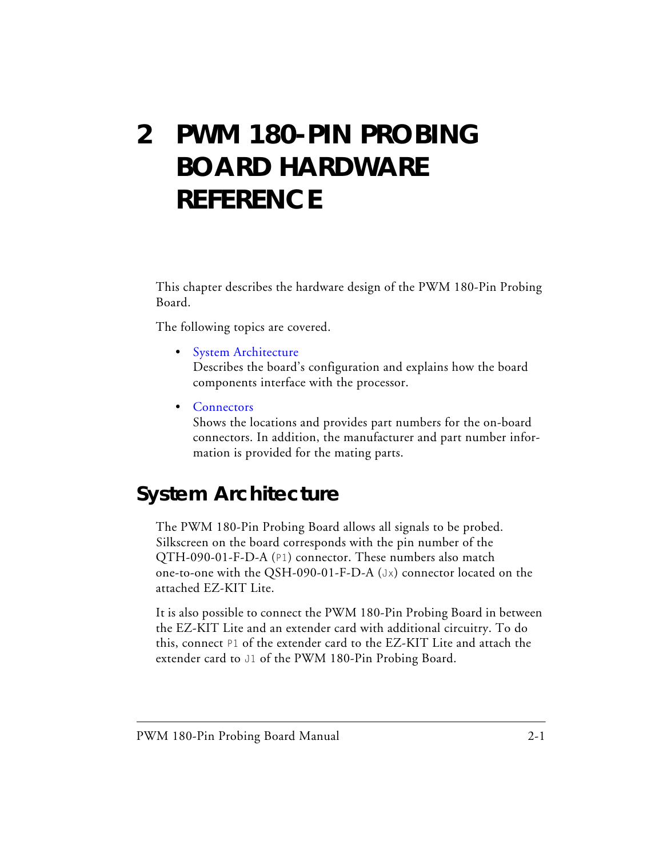## <span id="page-18-2"></span><span id="page-18-0"></span>**2 PWM 180-PIN PROBING BOARD HARDWARE REFERENCE**

This chapter describes the hardware design of the PWM 180-Pin Probing Board.

The following topics are covered.

• [System Architecture](#page-18-1)

Describes the board's configuration and explains how the board components interface with the processor.

• [Connectors](#page-19-0)

Shows the locations and provides part numbers for the on-board connectors. In addition, the manufacturer and part number information is provided for the mating parts.

### <span id="page-18-3"></span><span id="page-18-1"></span>**System Architecture**

The PWM 180-Pin Probing Board allows all signals to be probed. Silkscreen on the board corresponds with the pin number of the QTH-090-01-F-D-A (P1) connector. These numbers also match one-to-one with the QSH-090-01-F-D-A (Jx) connector located on the attached EZ-KIT Lite.

It is also possible to connect the PWM 180-Pin Probing Board in between the EZ-KIT Lite and an extender card with additional circuitry. To do this, connect P1 of the extender card to the EZ-KIT Lite and attach the extender card to J1 of the PWM 180-Pin Probing Board.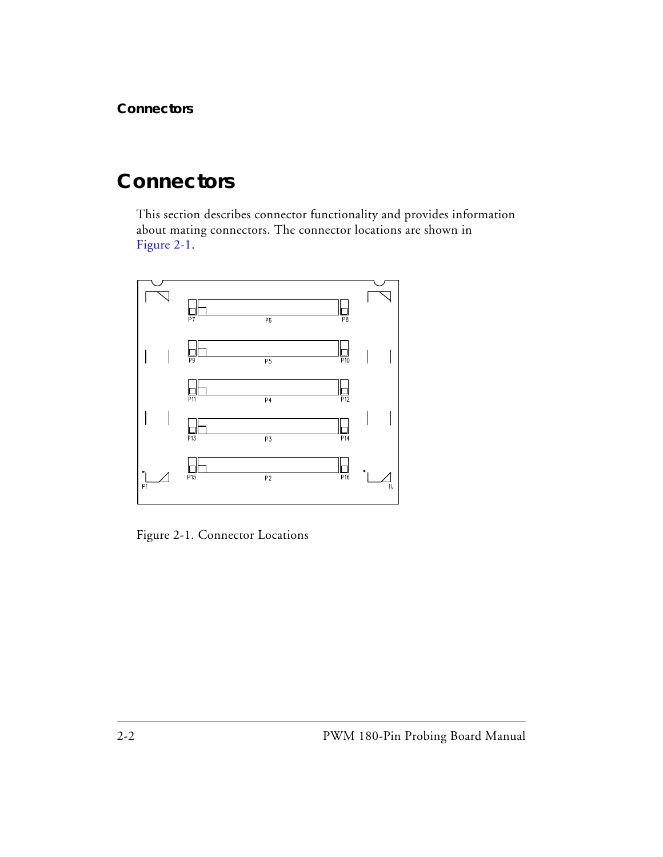### <span id="page-19-2"></span><span id="page-19-0"></span>**Connectors**

This section describes connector functionality and provides information about mating connectors. The connector locations are shown in [Figure 2-1](#page-19-1).



<span id="page-19-3"></span><span id="page-19-1"></span>Figure 2-1. Connector Locations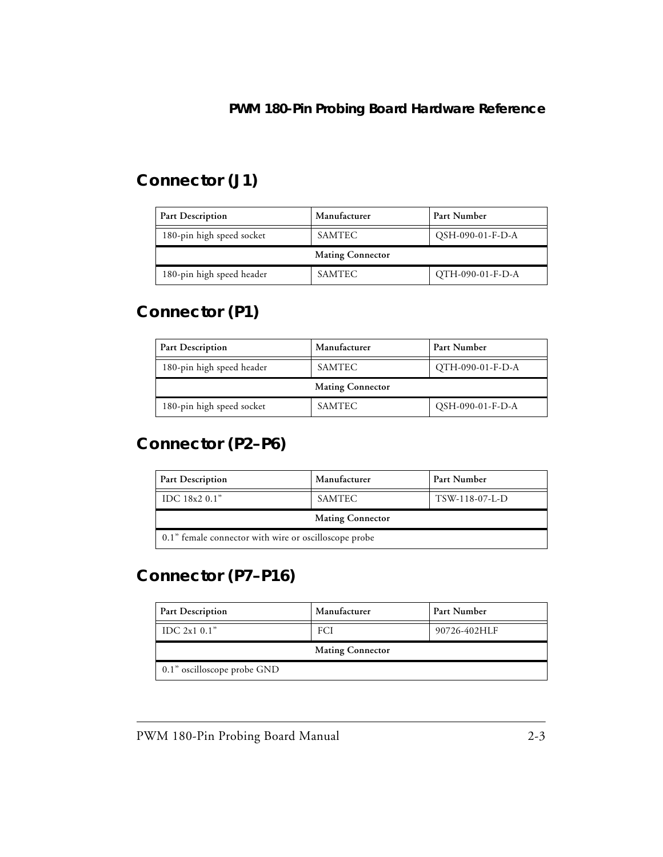### <span id="page-20-4"></span><span id="page-20-0"></span>**Connector (J1)**

| <b>Part Description</b>   | Manufacturer<br>Part Number |                  |  |
|---------------------------|-----------------------------|------------------|--|
| 180-pin high speed socket | SAMTEC                      | QSH-090-01-F-D-A |  |
| <b>Mating Connector</b>   |                             |                  |  |
|                           |                             |                  |  |

### <span id="page-20-5"></span><span id="page-20-1"></span>**Connector (P1)**

| <b>Part Description</b>   | Manufacturer<br>Part Number |                  |  |
|---------------------------|-----------------------------|------------------|--|
| 180-pin high speed header | SAMTEC                      | OTH-090-01-F-D-A |  |
| <b>Mating Connector</b>   |                             |                  |  |
|                           |                             |                  |  |

### <span id="page-20-6"></span><span id="page-20-2"></span>**Connector (P2–P6)**

| <b>Part Description</b>                               | Manufacturer | Part Number    |  |  |
|-------------------------------------------------------|--------------|----------------|--|--|
| IDC $18x20.1"$                                        | SAMTEC       | TSW-118-07-L-D |  |  |
| <b>Mating Connector</b>                               |              |                |  |  |
| 0.1" female connector with wire or oscilloscope probe |              |                |  |  |

### <span id="page-20-7"></span><span id="page-20-3"></span>**Connector (P7–P16)**

| <b>Part Description</b>     | Manufacturer            | Part Number  |
|-----------------------------|-------------------------|--------------|
| IDC $2x10.1"$               | FCI                     | 90726-402HLF |
|                             | <b>Mating Connector</b> |              |
| 0.1" oscilloscope probe GND |                         |              |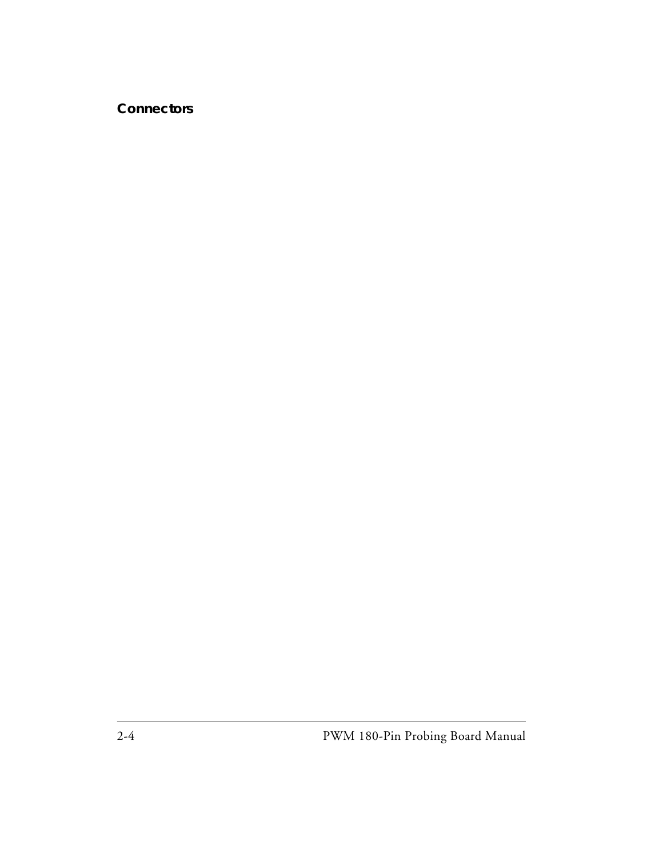#### **Connectors**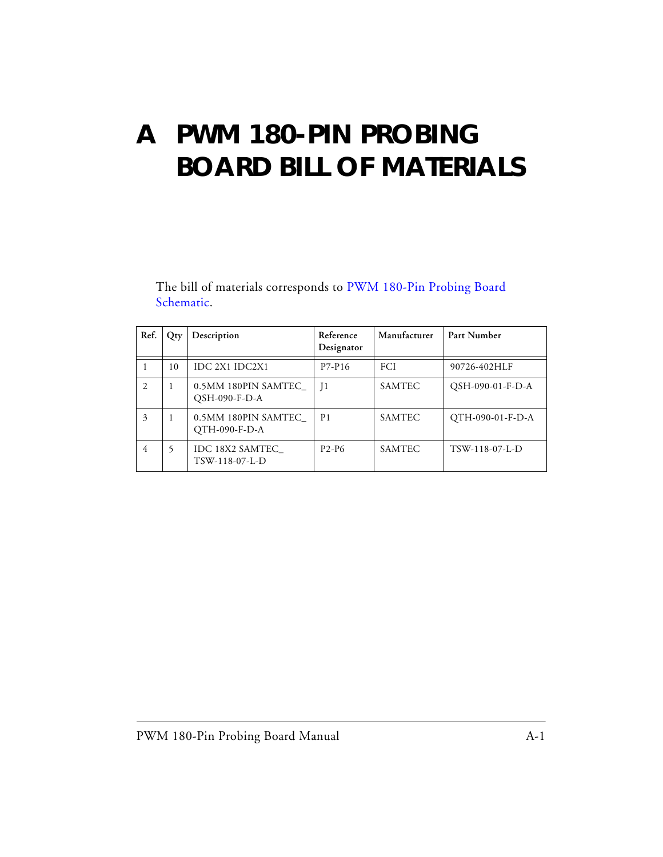## <span id="page-22-1"></span><span id="page-22-0"></span>**A PWM 180-PIN PROBING BOARD BILL OF MATERIALS**

The bill of materials corresponds to [PWM 180-Pin Probing Board](#page-24-0)  [Schematic.](#page-24-0)

| Ref.           | Qty | Description                          | Reference<br>Designator | Manufacturer  | Part Number      |
|----------------|-----|--------------------------------------|-------------------------|---------------|------------------|
|                | 10  | IDC 2X1 IDC2X1                       | P7-P16                  | <b>FCI</b>    | 90726-402HLF     |
| $\mathfrak{D}$ | 1   | 0.5MM 180PIN SAMTEC<br>QSH-090-F-D-A | $\overline{1}$          | <b>SAMTEC</b> | QSH-090-01-F-D-A |
| 3              | 1   | 0.5MM 180PIN SAMTEC<br>QTH-090-F-D-A | P <sub>1</sub>          | <b>SAMTEC</b> | QTH-090-01-F-D-A |
| 4              | 5   | IDC 18X2 SAMTEC<br>TSW-118-07-L-D    | $P2-P6$                 | <b>SAMTEC</b> | TSW-118-07-L-D   |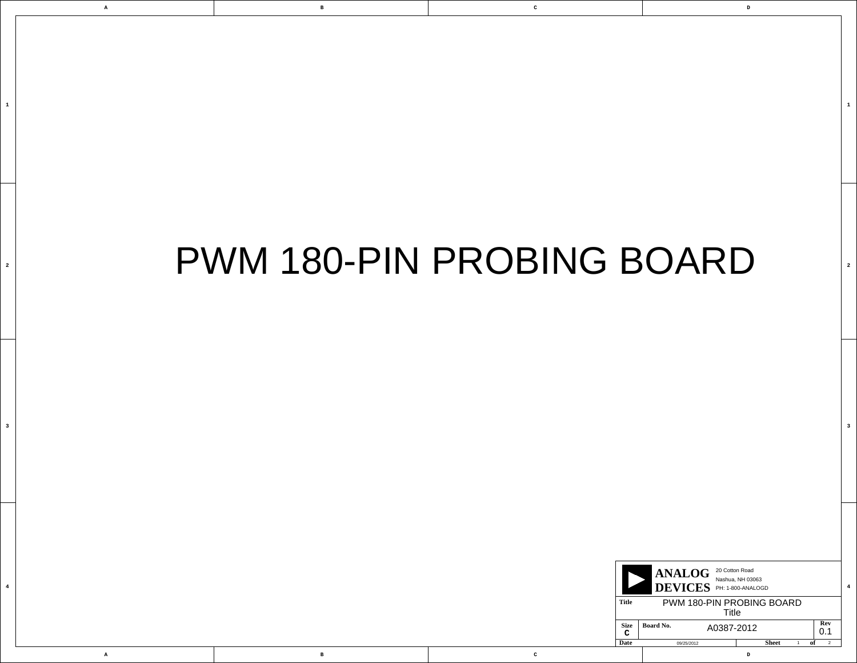**D**

**4**

**3**

**2**

**1**

**A B C**

|  | ANALOG <sup>20 Cotton Road</sup><br>Nashua, NH 03063<br>DEVICES PH: 1-800-ANALOGD |                                |                   |            |
|--|-----------------------------------------------------------------------------------|--------------------------------|-------------------|------------|
|  | <b>Title</b><br>PWM 180-PIN PROBING BOARD<br><b>Title</b>                         |                                |                   |            |
|  | <b>Size</b><br>$\sim$<br>◡                                                        | <b>Board No.</b><br>A0387-2012 |                   | Rev<br>0.1 |
|  | <b>Date</b>                                                                       | 09/25/2012                     | <b>Sheet</b><br>D |            |

<span id="page-24-0"></span>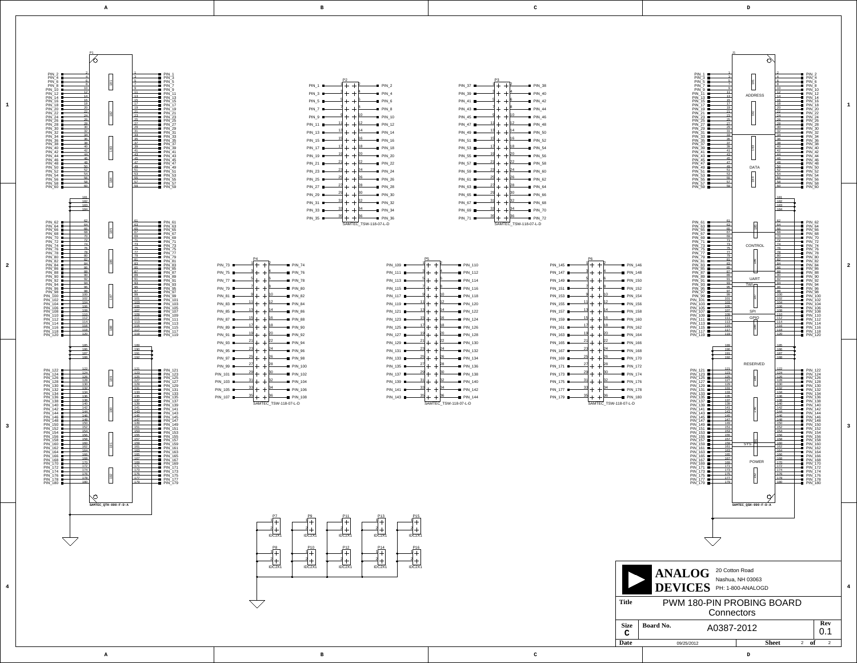

<span id="page-25-406"></span><span id="page-25-385"></span><span id="page-25-373"></span><span id="page-25-355"></span><span id="page-25-340"></span><span id="page-25-319"></span><span id="page-25-304"></span><span id="page-25-292"></span><span id="page-25-274"></span><span id="page-25-259"></span><span id="page-25-250"></span><span id="page-25-238"></span><span id="page-25-223"></span><span id="page-25-211"></span><span id="page-25-199"></span><span id="page-25-193"></span><span id="page-25-184"></span><span id="page-25-178"></span><span id="page-25-172"></span><span id="page-25-166"></span><span id="page-25-160"></span><span id="page-25-154"></span><span id="page-25-148"></span>**A**

**B**

<span id="page-25-407"></span><span id="page-25-341"></span><span id="page-25-331"></span><span id="page-25-328"></span><span id="page-25-320"></span><span id="page-25-310"></span><span id="page-25-305"></span><span id="page-25-298"></span><span id="page-25-293"></span><span id="page-25-283"></span><span id="page-25-275"></span><span id="page-25-268"></span><span id="page-25-260"></span><span id="page-25-251"></span><span id="page-25-247"></span><span id="page-25-239"></span><span id="page-25-229"></span><span id="page-25-224"></span><span id="page-25-217"></span><span id="page-25-212"></span><span id="page-25-205"></span><span id="page-25-200"></span><span id="page-25-196"></span><span id="page-25-194"></span><span id="page-25-190"></span><span id="page-25-187"></span><span id="page-25-185"></span><span id="page-25-181"></span><span id="page-25-179"></span><span id="page-25-175"></span><span id="page-25-173"></span><span id="page-25-169"></span><span id="page-25-167"></span><span id="page-25-163"></span><span id="page-25-161"></span><span id="page-25-157"></span><span id="page-25-155"></span><span id="page-25-151"></span><span id="page-25-149"></span>**C**

**A**

**B**

<span id="page-25-145"></span><span id="page-25-142"></span><span id="page-25-139"></span><span id="page-25-136"></span><span id="page-25-127"></span><span id="page-25-121"></span><span id="page-25-115"></span><span id="page-25-103"></span><span id="page-25-97"></span><span id="page-25-91"></span><span id="page-25-79"></span><span id="page-25-73"></span><span id="page-25-67"></span><span id="page-25-58"></span><span id="page-25-52"></span><span id="page-25-46"></span><span id="page-25-40"></span>**D**

**C**

<span id="page-25-410"></span><span id="page-25-401"></span><span id="page-25-395"></span><span id="page-25-371"></span><span id="page-25-362"></span><span id="page-25-353"></span><span id="page-25-335"></span><span id="page-25-323"></span><span id="page-25-314"></span><span id="page-25-290"></span><span id="page-25-281"></span><span id="page-25-254"></span><span id="page-25-242"></span><span id="page-25-112"></span><span id="page-25-88"></span><span id="page-25-64"></span>**Title**

<span id="page-25-330"></span><span id="page-25-189"></span><span id="page-25-168"></span><span id="page-25-162"></span><span id="page-25-156"></span><span id="page-25-150"></span>

<span id="page-25-444"></span><span id="page-25-438"></span><span id="page-25-432"></span><span id="page-25-426"></span><span id="page-25-420"></span><span id="page-25-414"></span><span id="page-25-412"></span><span id="page-25-402"></span><span id="page-25-397"></span><span id="page-25-390"></span><span id="page-25-378"></span><span id="page-25-363"></span><span id="page-25-348"></span><span id="page-25-327"></span><span id="page-25-309"></span><span id="page-25-297"></span><span id="page-25-282"></span><span id="page-25-267"></span><span id="page-25-246"></span><span id="page-25-228"></span><span id="page-25-216"></span><span id="page-25-204"></span><span id="page-25-195"></span><span id="page-25-186"></span><span id="page-25-180"></span><span id="page-25-174"></span>1<br>2<br>2<br>4<br>4

<span id="page-25-394"></span><span id="page-25-388"></span><span id="page-25-382"></span><span id="page-25-352"></span><span id="page-25-346"></span><span id="page-25-343"></span><span id="page-25-313"></span><span id="page-25-307"></span><span id="page-25-280"></span><span id="page-25-271"></span><span id="page-25-265"></span><span id="page-25-241"></span><span id="page-25-232"></span><span id="page-25-226"></span><span id="page-25-144"></span><span id="page-25-141"></span><span id="page-25-138"></span><span id="page-25-135"></span><span id="page-25-132"></span><span id="page-25-129"></span><span id="page-25-126"></span><span id="page-25-120"></span><span id="page-25-114"></span><span id="page-25-111"></span><span id="page-25-108"></span><span id="page-25-105"></span><span id="page-25-102"></span><span id="page-25-96"></span><span id="page-25-90"></span><span id="page-25-87"></span><span id="page-25-84"></span><span id="page-25-81"></span><span id="page-25-78"></span><span id="page-25-72"></span><span id="page-25-66"></span><span id="page-25-63"></span><span id="page-25-60"></span><span id="page-25-57"></span><span id="page-25-51"></span><span id="page-25-45"></span><span id="page-25-39"></span><span id="page-25-36"></span><span id="page-25-33"></span> $\mathbf{3}$ 

 $\overline{\mathbf{4}}$ 

<span id="page-25-534"></span><span id="page-25-528"></span><span id="page-25-522"></span><span id="page-25-516"></span><span id="page-25-510"></span><span id="page-25-504"></span><span id="page-25-498"></span><span id="page-25-492"></span><span id="page-25-486"></span><span id="page-25-480"></span><span id="page-25-474"></span><span id="page-25-468"></span><span id="page-25-462"></span><span id="page-25-456"></span><span id="page-25-450"></span><span id="page-25-123"></span><span id="page-25-117"></span><span id="page-25-99"></span><span id="page-25-93"></span><span id="page-25-75"></span><span id="page-25-69"></span><span id="page-25-54"></span><span id="page-25-48"></span><span id="page-25-42"></span><span id="page-25-30"></span><span id="page-25-27"></span><span id="page-25-24"></span><span id="page-25-18"></span><span id="page-25-12"></span><span id="page-25-6"></span><span id="page-25-0"></span> $\overline{a}$ 

 $\mathbf{1}$ 

<span id="page-25-405"></span><span id="page-25-332"></span><span id="page-25-258"></span><span id="page-25-249"></span><span id="page-25-237"></span><span id="page-25-230"></span><span id="page-25-222"></span><span id="page-25-218"></span><span id="page-25-210"></span><span id="page-25-206"></span><span id="page-25-198"></span><span id="page-25-197"></span><span id="page-25-192"></span><span id="page-25-191"></span><span id="page-25-188"></span><span id="page-25-183"></span><span id="page-25-182"></span><span id="page-25-177"></span><span id="page-25-176"></span><span id="page-25-171"></span><span id="page-25-170"></span><span id="page-25-165"></span><span id="page-25-164"></span><span id="page-25-159"></span><span id="page-25-158"></span><span id="page-25-153"></span><span id="page-25-152"></span><span id="page-25-147"></span>

| PIN <sub>1</sub> | P2<br>1                              |                       | PIN <sub>2</sub> |
|------------------|--------------------------------------|-----------------------|------------------|
| PIN <sub>3</sub> | 3                                    |                       | PIN 4            |
| PIN <sub>5</sub> | 5<br>┽                               | 6                     | PIN <sub>6</sub> |
| PIN <sub>7</sub> | 7<br>$\hspace{.1cm} + \hspace{.1cm}$ | 8                     | PIN 8            |
| PIN <sub>9</sub> | 9                                    | 10                    | <b>PIN 10</b>    |
| <b>PIN 11</b>    | 11<br>$^+$                           | 12                    | <b>PIN 12</b>    |
| <b>PIN 13</b>    | 13                                   | 14                    | <b>PIN 14</b>    |
| <b>PIN 15</b>    | <u>15</u>                            | 16                    | <b>PIN 16</b>    |
| <b>PIN 17</b>    | 17                                   | 18                    | <b>PIN 18</b>    |
| <b>PIN 19</b>    | <u> 19</u>                           | <u>20</u>             | <b>PIN 20</b>    |
| <b>PIN 21</b>    | <u>21</u>                            | 22                    | <b>PIN 22</b>    |
| <b>PIN 23</b>    | <u>23</u><br>$\!{+}$                 | 24                    | <b>PIN 24</b>    |
| <b>PIN 25</b>    | $\overline{25}$                      | $_{26}$               | <b>PIN 26</b>    |
| <b>PIN 27</b>    | <u>27</u><br>$^+$                    | <u>28</u>             | <b>PIN 28</b>    |
| <b>PIN 29</b>    | 29                                   | <u>30</u>             | <b>PIN 30</b>    |
| <b>PIN 31</b>    | <u>31</u>                            | <u>32</u>             | <b>PIN 32</b>    |
| <b>PIN 33</b>    | 33                                   | 34                    | <b>PIN 34</b>    |
| <b>PIN 35</b>    | 35                                   | 36                    | <b>PIN 36</b>    |
|                  |                                      | SAMTEC TSW-118-07-L-D |                  |

<span id="page-25-409"></span><span id="page-25-400"></span><span id="page-25-370"></span><span id="page-25-361"></span><span id="page-25-334"></span><span id="page-25-322"></span><span id="page-25-289"></span><span id="page-25-253"></span>

<span id="page-25-458"></span><span id="page-25-452"></span><span id="page-25-446"></span><span id="page-25-440"></span><span id="page-25-434"></span><span id="page-25-428"></span><span id="page-25-422"></span><span id="page-25-416"></span><span id="page-25-404"></span><span id="page-25-392"></span><span id="page-25-380"></span><span id="page-25-365"></span><span id="page-25-350"></span><span id="page-25-329"></span>

<span id="page-25-538"></span><span id="page-25-537"></span><span id="page-25-536"></span><span id="page-25-532"></span><span id="page-25-531"></span><span id="page-25-530"></span><span id="page-25-526"></span><span id="page-25-525"></span><span id="page-25-524"></span><span id="page-25-520"></span><span id="page-25-519"></span><span id="page-25-518"></span><span id="page-25-514"></span><span id="page-25-513"></span><span id="page-25-512"></span><span id="page-25-508"></span><span id="page-25-507"></span><span id="page-25-506"></span><span id="page-25-502"></span><span id="page-25-501"></span><span id="page-25-500"></span><span id="page-25-496"></span><span id="page-25-495"></span><span id="page-25-494"></span><span id="page-25-490"></span><span id="page-25-489"></span><span id="page-25-488"></span><span id="page-25-484"></span><span id="page-25-483"></span><span id="page-25-478"></span><span id="page-25-472"></span><span id="page-25-466"></span><span id="page-25-460"></span><span id="page-25-454"></span><span id="page-25-448"></span><span id="page-25-442"></span><span id="page-25-436"></span><span id="page-25-430"></span><span id="page-25-424"></span><span id="page-25-418"></span><span id="page-25-376"></span><span id="page-25-367"></span><span id="page-25-358"></span><span id="page-25-337"></span><span id="page-25-325"></span><span id="page-25-316"></span><span id="page-25-315"></span><span id="page-25-303"></span><span id="page-25-301"></span><span id="page-25-295"></span><span id="page-25-291"></span><span id="page-25-286"></span><span id="page-25-277"></span><span id="page-25-276"></span><span id="page-25-273"></span><span id="page-25-262"></span><span id="page-25-256"></span><span id="page-25-244"></span><span id="page-25-235"></span><span id="page-25-234"></span><span id="page-25-220"></span><span id="page-25-214"></span><span id="page-25-208"></span><span id="page-25-202"></span><span id="page-25-201"></span><span id="page-25-119"></span><span id="page-25-95"></span><span id="page-25-71"></span><span id="page-25-44"></span><span id="page-25-26"></span><span id="page-25-22"></span><span id="page-25-21"></span><span id="page-25-20"></span><span id="page-25-16"></span><span id="page-25-15"></span><span id="page-25-14"></span><span id="page-25-10"></span><span id="page-25-9"></span><span id="page-25-8"></span><span id="page-25-4"></span><span id="page-25-3"></span><span id="page-25-2"></span>

| P4                    |            |                |  |  |
|-----------------------|------------|----------------|--|--|
|                       |            | <b>PIN 74</b>  |  |  |
| 3                     |            | <b>PIN 76</b>  |  |  |
| <u>5</u><br>$\, + \,$ | 6          | <b>PIN 78</b>  |  |  |
| 7                     | 8          | <b>PIN 80</b>  |  |  |
| 9                     | 10         | <b>PIN 82</b>  |  |  |
| 11                    | <u> 12</u> | <b>PIN 84</b>  |  |  |
| 13                    | 14         | <b>PIN 86</b>  |  |  |
| <u> 15</u>            | 16         | <b>PIN 88</b>  |  |  |
| 17                    | 18         | <b>PIN 90</b>  |  |  |
| 19                    | 20         | <b>PIN 92</b>  |  |  |
| <u>21</u>             | 22         | <b>PIN 94</b>  |  |  |
| 23                    | 24         | <b>PIN 96</b>  |  |  |
| <u>25</u>             | $_{26}$    | <b>PIN 98</b>  |  |  |
| 27                    | $_{28}$    | <b>PIN 100</b> |  |  |
| 29                    | 30         | PIN_102        |  |  |
| 31                    | 32         | <b>PIN 104</b> |  |  |
| 33                    | 34         | PIN_106        |  |  |
| 35                    | 36         | PIN_108        |  |  |
| SAMTEC_TSW-118-07-L-D |            |                |  |  |
|                       |            |                |  |  |

<span id="page-25-477"></span><span id="page-25-471"></span><span id="page-25-465"></span><span id="page-25-381"></span><span id="page-25-375"></span><span id="page-25-366"></span><span id="page-25-357"></span><span id="page-25-342"></span><span id="page-25-336"></span><span id="page-25-324"></span><span id="page-25-311"></span><span id="page-25-300"></span><span id="page-25-299"></span><span id="page-25-294"></span><span id="page-25-285"></span><span id="page-25-284"></span><span id="page-25-269"></span><span id="page-25-264"></span><span id="page-25-261"></span><span id="page-25-255"></span><span id="page-25-248"></span><span id="page-25-243"></span><span id="page-25-225"></span><span id="page-25-219"></span><span id="page-25-213"></span><span id="page-25-207"></span><span id="page-25-134"></span><span id="page-25-131"></span><span id="page-25-125"></span><span id="page-25-110"></span><span id="page-25-107"></span><span id="page-25-101"></span><span id="page-25-89"></span><span id="page-25-86"></span><span id="page-25-83"></span><span id="page-25-77"></span><span id="page-25-65"></span><span id="page-25-62"></span><span id="page-25-56"></span><span id="page-25-50"></span><span id="page-25-38"></span><span id="page-25-35"></span><span id="page-25-32"></span><span id="page-25-29"></span>

|                | P <sub>5</sub> |                       |                |
|----------------|----------------|-----------------------|----------------|
| PIN 109        | 1              |                       | <b>PIN 110</b> |
| PIN 111        | 3              |                       | <b>PIN 112</b> |
| PIN 113        | 5              | 6                     | <b>PIN 114</b> |
| <b>PIN 115</b> | 7              | 8                     | <b>PIN 116</b> |
| PIN 117        | 9              | 10                    | <b>PIN 118</b> |
| PIN 119        | 11             | 12                    | <b>PIN 120</b> |
| <b>PIN 121</b> | 13             | 14                    | <b>PIN 122</b> |
| PIN 123        | 15             | 16                    | <b>PIN 124</b> |
| <b>PIN 125</b> | 17             | 18                    | <b>PIN 126</b> |
| PIN 127        | 19             | 20                    | <b>PIN 128</b> |
| <b>PIN 129</b> | <u>21</u>      | 22                    | <b>PIN 130</b> |
| <b>PIN 131</b> | 23             | 24                    | <b>PIN 132</b> |
| PIN 133        | 25             | 26                    | <b>PIN 134</b> |
| PIN_135        | 27             | $_{28}$               | <b>PIN 136</b> |
| PIN 137        | 29<br>╄        | 30                    | <b>PIN 138</b> |
| <b>PIN 139</b> | <u>31</u>      | 32                    | <b>PIN 140</b> |
| PIN 141        | 33             | 34                    | PIN_142        |
| <b>PIN 143</b> | 35             | 36                    | PIN<br>144     |
|                |                | SAMTEC TSW-118-07-L-D |                |

<span id="page-25-459"></span><span id="page-25-453"></span><span id="page-25-447"></span><span id="page-25-441"></span><span id="page-25-435"></span><span id="page-25-429"></span><span id="page-25-423"></span><span id="page-25-417"></span><span id="page-25-411"></span><span id="page-25-396"></span><span id="page-25-384"></span><span id="page-25-372"></span><span id="page-25-354"></span><span id="page-25-339"></span><span id="page-25-318"></span>

| PIN 37                |                |
|-----------------------|----------------|
| PIN_39                |                |
| $PIN_41$              |                |
| PIN 43                |                |
| $PIN_45$              |                |
| PIN 47 ■──            |                |
| PIN_49 Decomposition  |                |
| PIN 51                |                |
| $PIN_53$              |                |
| $PIN_55$              |                |
| $PIN_57$              |                |
| PIN 59                |                |
| PIN 61                | $\blacksquare$ |
| PIN 63 <b>H</b>       |                |
| $PIN_65$              |                |
| PIN_67 $\blacksquare$ |                |
| PIN_69 <b>E</b>       |                |
| PIN 71 ■—             |                |
|                       |                |

<span id="page-25-539"></span><span id="page-25-535"></span><span id="page-25-533"></span><span id="page-25-529"></span><span id="page-25-527"></span><span id="page-25-523"></span><span id="page-25-521"></span><span id="page-25-517"></span><span id="page-25-515"></span><span id="page-25-511"></span><span id="page-25-509"></span><span id="page-25-505"></span><span id="page-25-503"></span><span id="page-25-499"></span><span id="page-25-497"></span><span id="page-25-493"></span><span id="page-25-491"></span><span id="page-25-487"></span><span id="page-25-485"></span><span id="page-25-482"></span><span id="page-25-481"></span><span id="page-25-479"></span><span id="page-25-476"></span><span id="page-25-475"></span><span id="page-25-473"></span><span id="page-25-470"></span><span id="page-25-469"></span><span id="page-25-467"></span><span id="page-25-464"></span><span id="page-25-463"></span><span id="page-25-461"></span><span id="page-25-457"></span><span id="page-25-455"></span><span id="page-25-451"></span><span id="page-25-449"></span><span id="page-25-445"></span><span id="page-25-443"></span><span id="page-25-439"></span><span id="page-25-437"></span><span id="page-25-433"></span><span id="page-25-431"></span><span id="page-25-427"></span><span id="page-25-425"></span><span id="page-25-421"></span><span id="page-25-419"></span><span id="page-25-415"></span><span id="page-25-413"></span><span id="page-25-408"></span><span id="page-25-403"></span><span id="page-25-399"></span><span id="page-25-398"></span><span id="page-25-393"></span><span id="page-25-391"></span><span id="page-25-389"></span><span id="page-25-387"></span><span id="page-25-386"></span><span id="page-25-383"></span><span id="page-25-379"></span><span id="page-25-377"></span><span id="page-25-374"></span><span id="page-25-369"></span><span id="page-25-368"></span><span id="page-25-364"></span><span id="page-25-360"></span><span id="page-25-359"></span><span id="page-25-356"></span><span id="page-25-351"></span><span id="page-25-349"></span><span id="page-25-347"></span><span id="page-25-345"></span><span id="page-25-344"></span><span id="page-25-338"></span><span id="page-25-333"></span><span id="page-25-326"></span><span id="page-25-321"></span><span id="page-25-317"></span><span id="page-25-312"></span><span id="page-25-308"></span><span id="page-25-306"></span><span id="page-25-302"></span><span id="page-25-296"></span><span id="page-25-288"></span><span id="page-25-287"></span><span id="page-25-279"></span><span id="page-25-278"></span><span id="page-25-272"></span><span id="page-25-270"></span><span id="page-25-266"></span><span id="page-25-263"></span><span id="page-25-257"></span><span id="page-25-252"></span><span id="page-25-245"></span><span id="page-25-240"></span><span id="page-25-236"></span><span id="page-25-233"></span><span id="page-25-231"></span><span id="page-25-227"></span><span id="page-25-221"></span><span id="page-25-215"></span><span id="page-25-209"></span><span id="page-25-203"></span><span id="page-25-146"></span><span id="page-25-143"></span><span id="page-25-140"></span><span id="page-25-137"></span><span id="page-25-133"></span><span id="page-25-130"></span><span id="page-25-128"></span><span id="page-25-124"></span><span id="page-25-122"></span><span id="page-25-118"></span><span id="page-25-116"></span><span id="page-25-113"></span><span id="page-25-109"></span><span id="page-25-106"></span><span id="page-25-104"></span><span id="page-25-100"></span><span id="page-25-98"></span><span id="page-25-94"></span><span id="page-25-92"></span><span id="page-25-85"></span><span id="page-25-82"></span><span id="page-25-80"></span><span id="page-25-76"></span><span id="page-25-74"></span><span id="page-25-70"></span><span id="page-25-68"></span><span id="page-25-61"></span><span id="page-25-59"></span><span id="page-25-55"></span><span id="page-25-53"></span><span id="page-25-49"></span><span id="page-25-47"></span><span id="page-25-43"></span><span id="page-25-41"></span><span id="page-25-37"></span><span id="page-25-34"></span><span id="page-25-31"></span><span id="page-25-28"></span><span id="page-25-25"></span><span id="page-25-23"></span><span id="page-25-19"></span><span id="page-25-17"></span><span id="page-25-13"></span><span id="page-25-11"></span><span id="page-25-7"></span><span id="page-25-5"></span><span id="page-25-1"></span>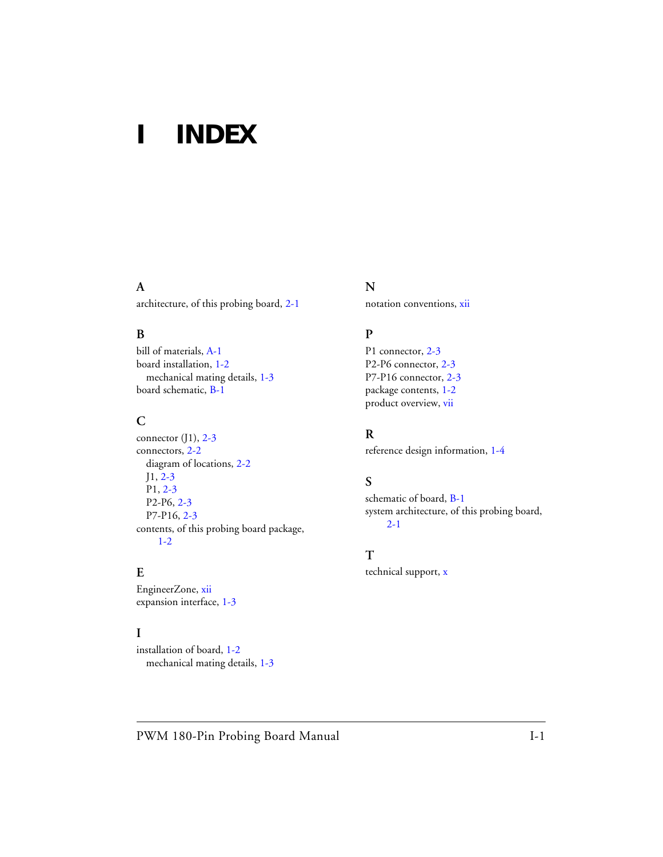# <span id="page-26-0"></span>**I INDEX**

#### **A**

architecture, of this probing board, [2-1](#page-18-3)

#### **B**

bill of materials, [A-1](#page-22-1) board installation, [1-2](#page-15-2) mechanical mating details, [1-3](#page-16-1) board schematic, [B-1](#page-24-0)

#### **C**

connector  $(1)$ , [2-3](#page-20-4) connectors, [2-2](#page-19-2) diagram of locations, [2-2](#page-19-3) J1, [2-3](#page-20-4) P1, [2-3](#page-20-5) P2-P6, [2-3](#page-20-6) P7-P16, [2-3](#page-20-7) contents, of this probing board package, [1-2](#page-15-3)

#### **E**

EngineerZone, [xii](#page-11-2) expansion interface, [1-3](#page-16-2)

#### **I**

installation of board, [1-2](#page-15-4) mechanical mating details, [1-3](#page-16-3)

#### **N** notation conventions, [xii](#page-11-3)

#### **P**

P1 connector, [2-3](#page-20-5) P2-P6 connector, [2-3](#page-20-6) P7-P16 connector, [2-3](#page-20-7) package contents, [1-2](#page-15-5) product overview, [vii](#page-6-3)

#### **R**

reference design information, [1-4](#page-17-1)

#### **S**

schematic of board, [B-1](#page-24-0) system architecture, of this probing board, [2-1](#page-18-3)

#### **T**

technical support, [x](#page-9-2)